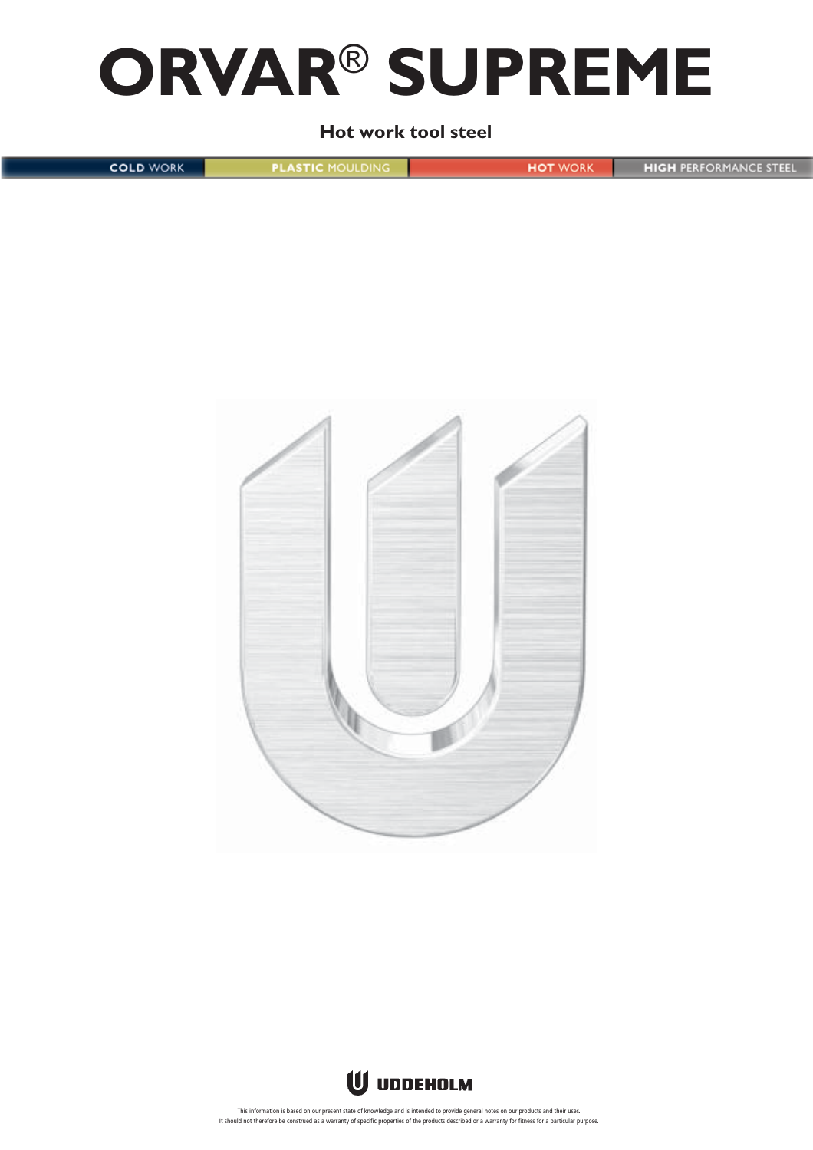# **ORVAR**® **SUPREME**

**Hot work tool steel**

**COLD WORK PLASTIC MOULDING HIGH PERFORMANCE STEEL HOT WORK** 





This information is based on our present state of knowledge and is intended to provide general notes on our products and their uses. It should not therefore be construed as a warranty of specific properties of the products described or a warranty for fitness for a particular purpose.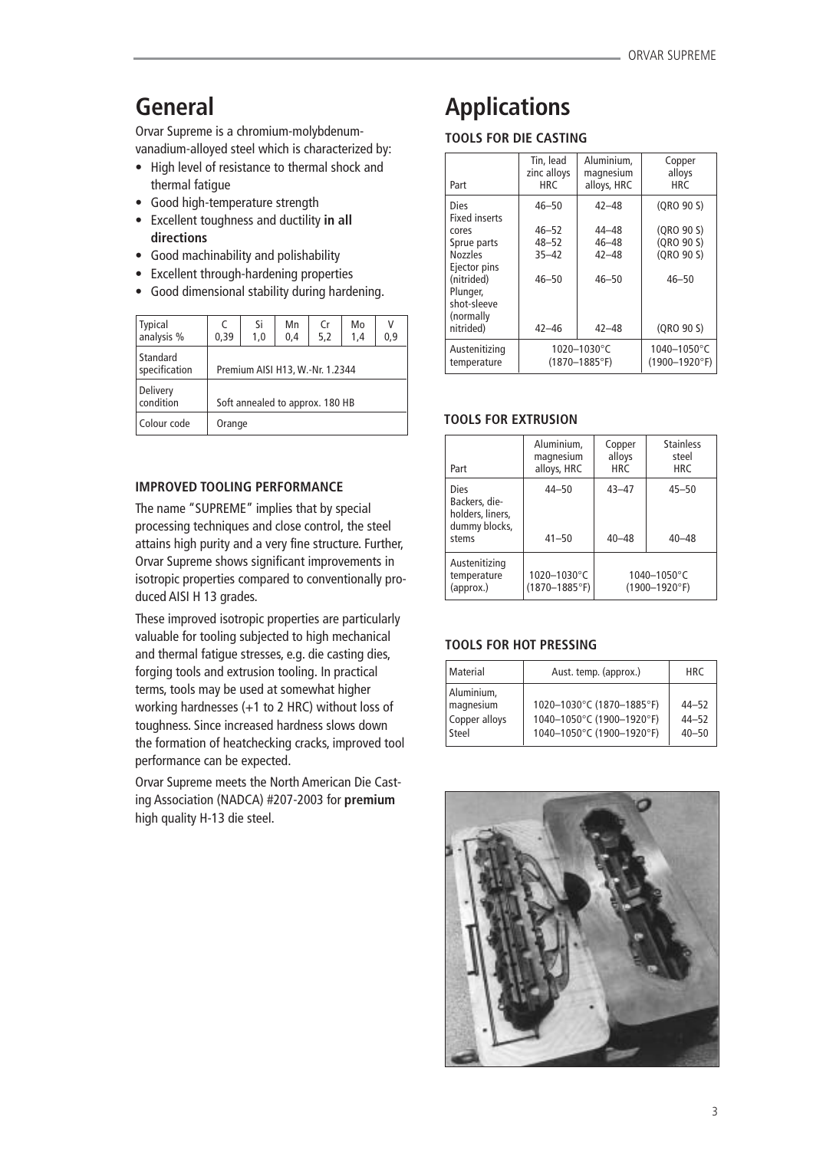# **General**

Orvar Supreme is a chromium-molybdenumvanadium-alloyed steel which is characterized by:

- High level of resistance to thermal shock and thermal fatigue
- Good high-temperature strength
- Excellent toughness and ductility **in all directions**
- Good machinability and polishability
- Excellent through-hardening properties
- Good dimensional stability during hardening.

| <b>Typical</b><br>analysis % | C<br>0.39                       | Si<br>1,0 | Mn<br>0.4 | Cr<br>5,2 | Mo<br>1,4 | ٧<br>0,9 |
|------------------------------|---------------------------------|-----------|-----------|-----------|-----------|----------|
| Standard<br>specification    | Premium AISI H13, W.-Nr. 1.2344 |           |           |           |           |          |
| Delivery<br>condition        | Soft annealed to approx. 180 HB |           |           |           |           |          |
| Colour code                  | Orange                          |           |           |           |           |          |

# **IMPROVED TOOLING PERFORMANCE**

The name "SUPREME" implies that by special processing techniques and close control, the steel attains high purity and a very fine structure. Further, Orvar Supreme shows significant improvements in isotropic properties compared to conventionally produced AISI H 13 grades.

These improved isotropic properties are particularly valuable for tooling subjected to high mechanical and thermal fatigue stresses, e.g. die casting dies, forging tools and extrusion tooling. In practical terms, tools may be used at somewhat higher working hardnesses (+1 to 2 HRC) without loss of toughness. Since increased hardness slows down the formation of heatchecking cracks, improved tool performance can be expected.

Orvar Supreme meets the North American Die Casting Association (NADCA) #207-2003 for **premium** high quality H-13 die steel.

# **Applications**

# **TOOLS FOR DIE CASTING**

| Part                                                               | Tin, lead<br>zinc alloys<br><b>HRC</b> | Aluminium.<br>magnesium<br>alloys, HRC | Copper<br>alloys<br><b>HRC</b>    |
|--------------------------------------------------------------------|----------------------------------------|----------------------------------------|-----------------------------------|
| Dies<br><b>Fixed inserts</b>                                       | $46 - 50$                              | $42 - 48$                              | (QRO 90 S)                        |
| cores                                                              | $46 - 52$                              | 44-48                                  | (QRO 90 S)                        |
| Sprue parts                                                        | $48 - 52$                              | $46 - 48$                              | (QRO 90 S)                        |
| <b>Nozzles</b>                                                     | $35 - 42$                              | $42 - 48$                              | (ORO 90 S)                        |
| Ejector pins<br>(nitrided)<br>Plunger,<br>shot-sleeve<br>(normally | $46 - 50$                              | $46 - 50$                              | $46 - 50$                         |
| nitrided)                                                          | $42 - 46$                              | $42 - 48$                              | (ORO 90 S)                        |
| Austenitizing<br>temperature                                       |                                        | 1020-1030°C<br>(1870–1885°F)           | 1040-1050°C<br>$(1900 - 1920$ °F) |

# **TOOLS FOR EXTRUSION**

| Part                                                                | Aluminium,<br>magnesium<br>alloys, HRC | Copper<br>alloys<br><b>HRC</b> | <b>Stainless</b><br>steel<br><b>HRC</b> |
|---------------------------------------------------------------------|----------------------------------------|--------------------------------|-----------------------------------------|
| Dies<br>Backers, die-<br>holders, liners,<br>dummy blocks,<br>stems | $44 - 50$<br>$41 - 50$                 | $43 - 47$<br>$40 - 48$         | $45 - 50$<br>$40 - 48$                  |
| Austenitizing<br>temperature<br>(approx.)                           | 1020-1030°C<br>$(1870 - 1885$ °F)      |                                | 1040-1050°C<br>$(1900 - 1920$ °F)       |

# **TOOLS FOR HOT PRESSING**

| Material                                          | Aust. temp. (approx.)                                                               | <b>HRC</b>                          |
|---------------------------------------------------|-------------------------------------------------------------------------------------|-------------------------------------|
| Aluminium,<br>magnesium<br>Copper alloys<br>Steel | 1020-1030°C (1870-1885°F)<br>1040-1050°C (1900-1920°F)<br>1040-1050°C (1900-1920°F) | $44 - 52$<br>$44 - 52$<br>$40 - 50$ |

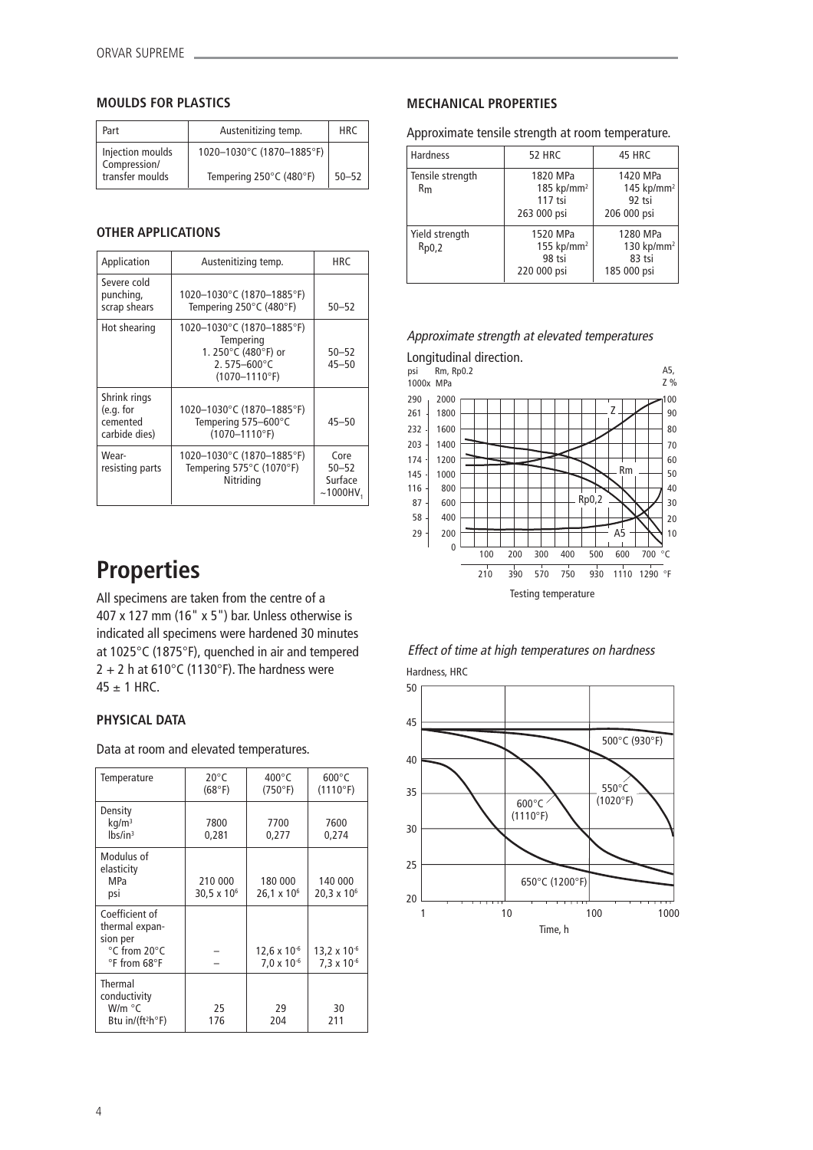### **MOULDS FOR PLASTICS**

| Part                             | Austenitizing temp.       | <b>HRC</b> |
|----------------------------------|---------------------------|------------|
| Injection moulds<br>Compression/ | 1020-1030°C (1870-1885°F) |            |
| transfer moulds                  | Tempering 250°C (480°F)   | $50 - 52$  |

### **OTHER APPLICATIONS**

| Application                                            | Austenitizing temp.                                                                                           | HRC                    |  |  |
|--------------------------------------------------------|---------------------------------------------------------------------------------------------------------------|------------------------|--|--|
| Severe cold<br>punching,<br>scrap shears               | 1020-1030°C (1870-1885°F)<br>Tempering 250°C (480°F)                                                          | $50 - 52$              |  |  |
| Hot shearing                                           | 1020-1030°C (1870-1885°F)<br>Tempering<br>1. 250°C (480°F) or<br>2.575-600 $^{\circ}$ C<br>$(1070 - 1110$ °F) | $50 - 52$<br>$45 - 50$ |  |  |
| Shrink rings<br>(e.g. for<br>cemented<br>carbide dies) | 1020-1030°C (1870-1885°F)<br>Tempering 575-600°C<br>$(1070 - 1110$ °F)                                        | $45 - 50$              |  |  |
| Wear-<br>resisting parts                               | 1020-1030°C (1870-1885°F)<br>Tempering 575°C (1070°F)<br>Nitriding                                            |                        |  |  |

# **Properties**

All specimens are taken from the centre of a 407 x 127 mm (16" x 5") bar. Unless otherwise is indicated all specimens were hardened 30 minutes at 1025°C (1875°F), quenched in air and tempered 2 + 2 h at 610 $^{\circ}$ C (1130 $^{\circ}$ F). The hardness were  $45 \pm 1$  HRC.

### **PHYSICAL DATA**

Data at room and elevated temperatures.

| Temperature                                                                                     | $20^{\circ}$ C<br>(68°F)           | $400^{\circ}$ C<br>(750°F)                    | $600^{\circ}$ C<br>(1110°F)            |
|-------------------------------------------------------------------------------------------------|------------------------------------|-----------------------------------------------|----------------------------------------|
| Density<br>kq/m <sup>3</sup><br>$lbs/in^3$                                                      | 7800<br>0.281                      | 7700<br>0,277                                 | 7600<br>0,274                          |
| Modulus of<br>elasticity<br><b>MPa</b><br>psi                                                   | 210 000<br>30,5 $\times$ 10 $^{6}$ | 180 000<br>26,1 x 10 <sup>6</sup>             | 140 000<br>$20.3 \times 10^{6}$        |
| Coefficient of<br>thermal expan-<br>sion per<br>°C from 20°C<br>$\degree$ F from 68 $\degree$ F |                                    | $12,6 \times 10^{-6}$<br>$7.0 \times 10^{-6}$ | 13,2 x 10 $-6$<br>$7.3 \times 10^{-6}$ |
| Thermal<br>conductivity<br>W/m °C<br>Btu in/(ft <sup>2</sup> h°F)                               | 25<br>176                          | 29<br>204                                     | 30<br>211                              |

### **MECHANICAL PROPERTIES**

Approximate tensile strength at room temperature.

| <b>Hardness</b>         | <b>52 HRC</b>                                                  | 45 HRC                                                      |  |
|-------------------------|----------------------------------------------------------------|-------------------------------------------------------------|--|
| Tensile strength<br>Rm  | 1820 MPa<br>185 kp/mm <sup>2</sup><br>$117$ tsi<br>263 000 psi | 1420 MPa<br>145 kp/mm <sup>2</sup><br>92 tsi<br>206 000 psi |  |
| Yield strength<br>Rp0,2 | 1520 MPa<br>155 kp/mm <sup>2</sup><br>98 tsi<br>220 000 psi    | 1280 MPa<br>130 kp/mm <sup>2</sup><br>83 tsi<br>185 000 psi |  |

### Approximate strength at elevated temperatures





50 45 40 35 30 25 20 1 10 100 1000 Time, h 600°C (1110°F) 650°C (1200°F) 500°C (930°F) 550°C  $(1020°F)$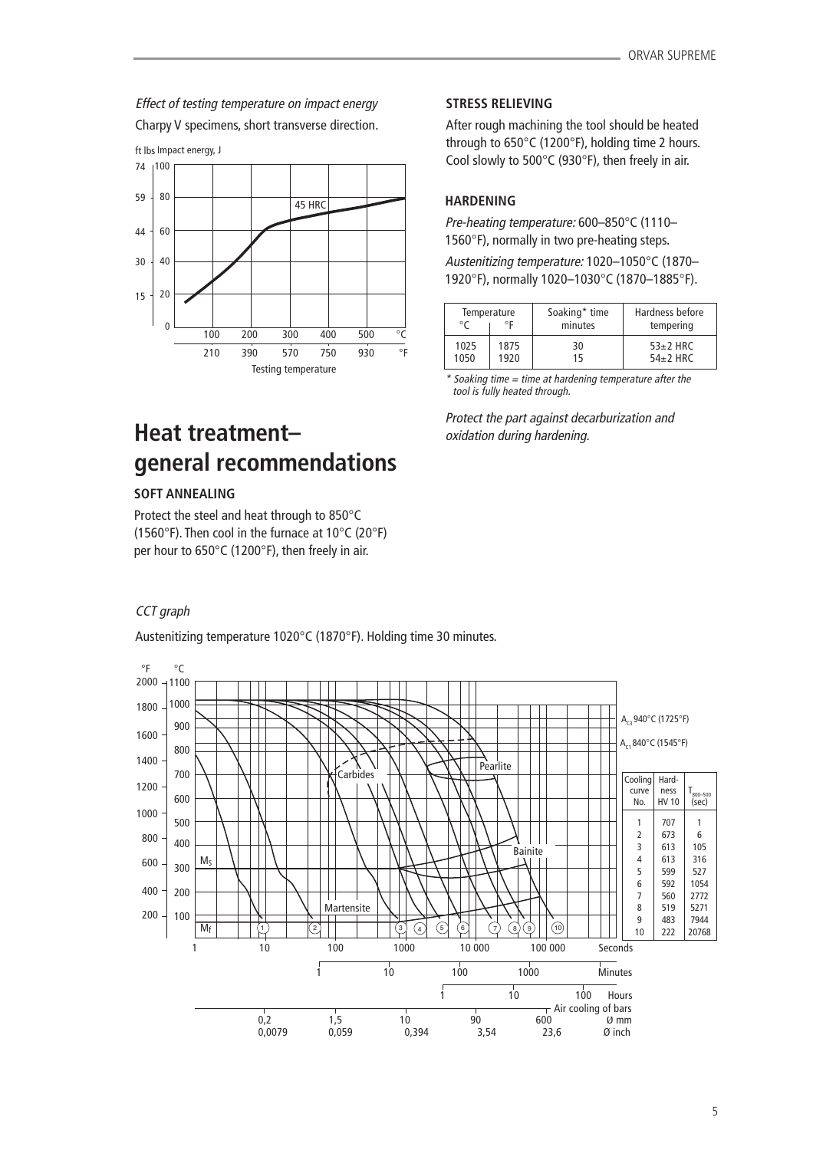Effect of testing temperature on impact energy Charpy V specimens, short transverse direction.



# **Heat treatment– general recommendations**

### **SOFT ANNEALING**

Protect the steel and heat through to 850°C (1560°F). Then cool in the furnace at 10°C (20°F) per hour to 650°C (1200°F), then freely in air.

# CCT graph

Austenitizing temperature 1020°C (1870°F). Holding time 30 minutes.



### **STRESS RELIEVING**

After rough machining the tool should be heated through to 650°C (1200°F), holding time 2 hours. Cool slowly to 500°C (930°F), then freely in air.

# **HARDENING**

Pre-heating temperature: 600–850°C (1110– 1560°F), normally in two pre-heating steps.

Austenitizing temperature: 1020–1050°C (1870– 1920°F), normally 1020–1030°C (1870–1885°F).

| Temperature |      | Soaking* time | Hardness before |  |
|-------------|------|---------------|-----------------|--|
| ∘г          |      | minutes       | tempering       |  |
| 1025        | 1875 | 30            | $53\pm2$ HRC    |  |
| 1050        | 1920 | 15            | $54\pm2$ HRC    |  |

 $*$  Soaking time = time at hardening temperature after the tool is fully heated through.

Protect the part against decarburization and oxidation during hardening.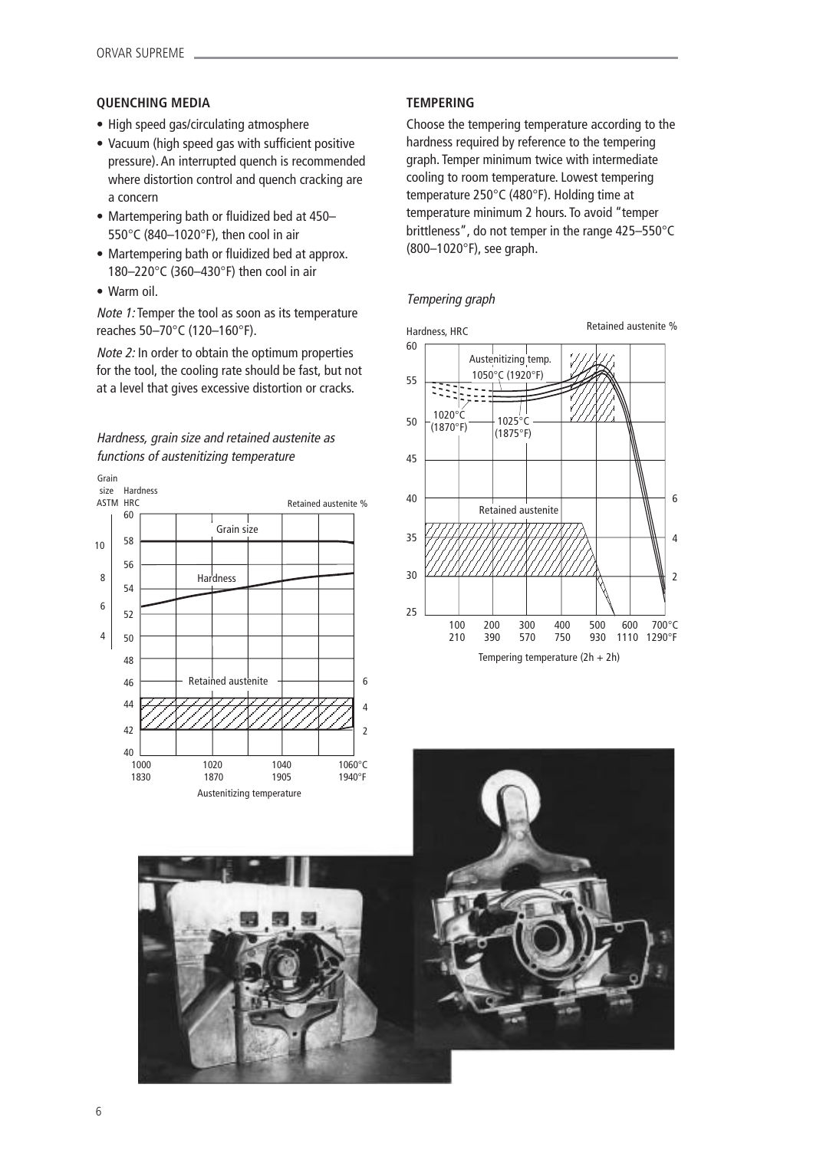### **QUENCHING MEDIA**

- High speed gas/circulating atmosphere
- Vacuum (high speed gas with sufficient positive pressure). An interrupted quench is recommended where distortion control and quench cracking are a concern
- Martempering bath or fluidized bed at 450– 550°C (840–1020°F), then cool in air
- Martempering bath or fluidized bed at approx. 180–220°C (360–430°F) then cool in air
- Warm oil.

Note 1: Temper the tool as soon as its temperature reaches 50–70°C (120–160°F).

Note 2: In order to obtain the optimum properties for the tool, the cooling rate should be fast, but not at a level that gives excessive distortion or cracks.

# Hardness, grain size and retained austenite as functions of austenitizing temperature



# **TEMPERING**

Choose the tempering temperature according to the hardness required by reference to the tempering graph. Temper minimum twice with intermediate cooling to room temperature. Lowest tempering temperature 250°C (480°F). Holding time at temperature minimum 2 hours. To avoid "temper brittleness", do not temper in the range 425–550°C (800–1020°F), see graph.





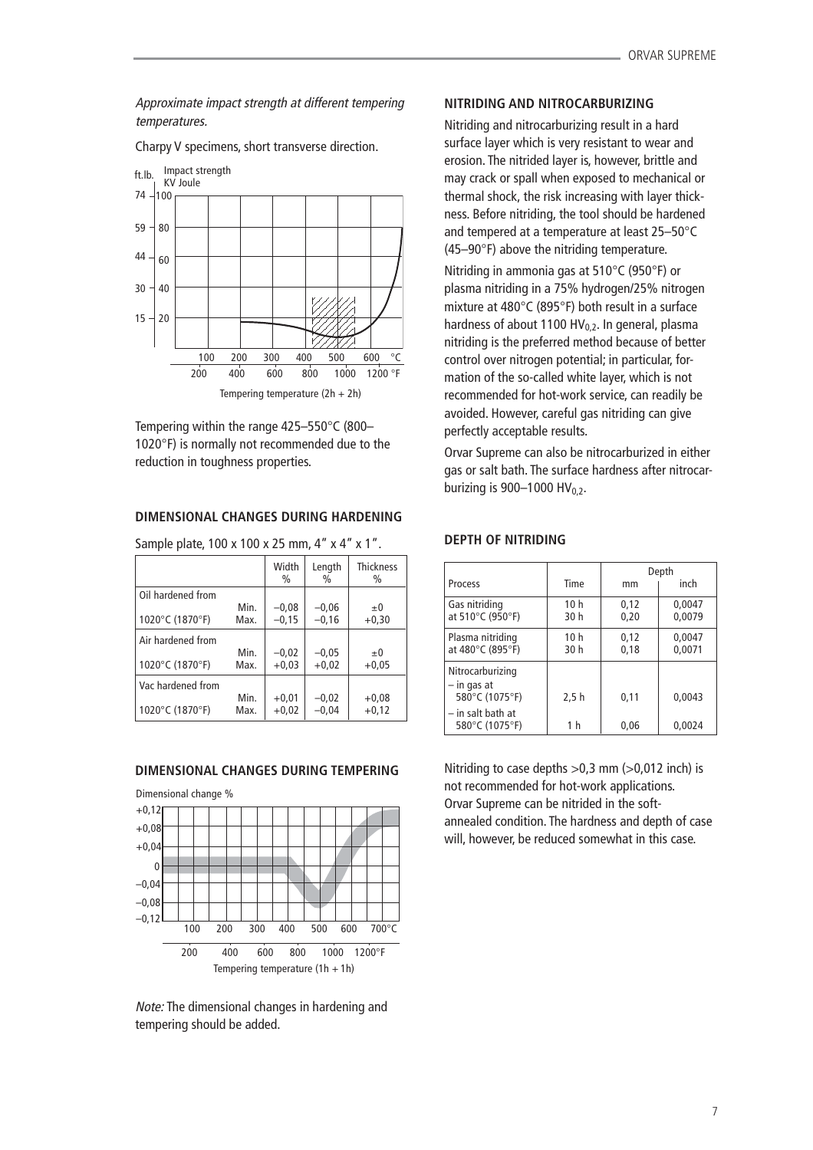Approximate impact strength at different tempering temperatures.

Charpy V specimens, short transverse direction.



Tempering within the range 425–550°C (800– 1020°F) is normally not recommended due to the reduction in toughness properties.

# **DIMENSIONAL CHANGES DURING HARDENING**

|      | Width<br>$\%$ | Length<br>$\frac{0}{0}$ | <b>Thickness</b><br>$\%$                                |
|------|---------------|-------------------------|---------------------------------------------------------|
|      |               |                         |                                                         |
| Min. | $-0.08$       | $-0,06$                 | $\pm 0$                                                 |
| Max. | $-0,15$       | $-0.16$                 | $+0,30$                                                 |
|      |               |                         |                                                         |
| Min. | $-0,02$       | $-0,05$                 | $\pm 0$                                                 |
| Max. | $+0,03$       | $+0,02$                 | $+0.05$                                                 |
|      |               |                         |                                                         |
| Min. | $+0,01$       | $-0,02$                 | $+0.08$                                                 |
| Max. | $+0.02$       | $-0.04$                 | $+0,12$                                                 |
|      |               |                         | $38.11$ pic picture, $199.11$ and $199.11$ and $199.11$ |

Sample plate, 100 x 100 x 25 mm, 4" x 4" x 1".

# **DIMENSIONAL CHANGES DURING TEMPERING**

Dimensional change %  $+0.12$ 



Note: The dimensional changes in hardening and tempering should be added.

### **NITRIDING AND NITROCARBURIZING**

Nitriding and nitrocarburizing result in a hard surface layer which is very resistant to wear and erosion. The nitrided layer is, however, brittle and may crack or spall when exposed to mechanical or thermal shock, the risk increasing with layer thickness. Before nitriding, the tool should be hardened and tempered at a temperature at least 25–50°C (45–90°F) above the nitriding temperature.

Nitriding in ammonia gas at 510°C (950°F) or plasma nitriding in a 75% hydrogen/25% nitrogen mixture at 480°C (895°F) both result in a surface hardness of about 1100 HV $_{0.2}$ . In general, plasma nitriding is the preferred method because of better control over nitrogen potential; in particular, formation of the so-called white layer, which is not recommended for hot-work service, can readily be avoided. However, careful gas nitriding can give perfectly acceptable results.

Orvar Supreme can also be nitrocarburized in either gas or salt bath. The surface hardness after nitrocarburizing is 900–1000 HV $_{0.2}$ .

### Depth Process Time mm inch Gas nitriding  $\begin{array}{|c|c|c|c|c|}\n\hline\n\text{6} & 10 \text{ h} & 0,12 & 0,0047 \\
\text{at } 510^{\circ}\text{C (950°F)} & 30 \text{ h} & 0,20 & 0,0079\n\end{array}$ at 510°C (950°F) Plasma nitriding | 10 h | 0,12 | 0,0047 at 480°C (895°F)  $\begin{array}{|c|c|c|c|c|c|c|c|c|} \hline \end{array}$  30 h 0,18 0,0071 Nitrocarburizing – in gas at  $580^{\circ}$ C (1075<sup>°</sup>F)  $\left| 2,5 h \right|$  0,11  $\left| 0,0043 \right|$ – in salt bath at 580°C (1075°F) 1 h 0,06 0,0024

Nitriding to case depths  $>0.3$  mm ( $>0.012$  inch) is not recommended for hot-work applications. Orvar Supreme can be nitrided in the softannealed condition. The hardness and depth of case will, however, be reduced somewhat in this case.

### **DEPTH OF NITRIDING**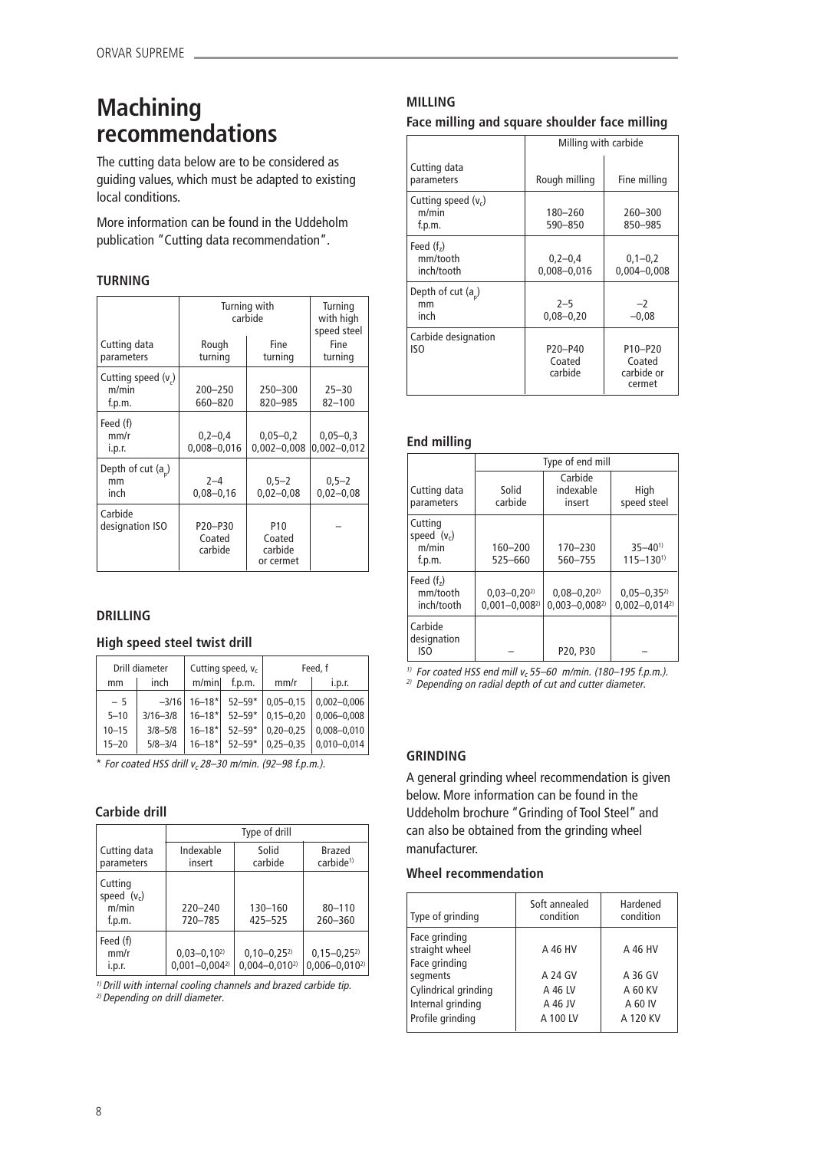# **Machining recommendations**

The cutting data below are to be considered as guiding values, which must be adapted to existing local conditions.

More information can be found in the Uddeholm publication "Cutting data recommendation".

# **TURNING**

|                                      | Turning with<br>carbide                               | Turning<br>with high<br>speed steel               |                                 |
|--------------------------------------|-------------------------------------------------------|---------------------------------------------------|---------------------------------|
| Cutting data<br>parameters           | Rough<br>turning                                      | Fine<br>turning                                   | Fine<br>turning                 |
| Cutting speed (v)<br>m/min<br>f.p.m. | $200 - 250$<br>660-820                                | $250 - 300$<br>820-985                            | $25 - 30$<br>$82 - 100$         |
| Feed (f)<br>mm/r<br>i.p.r.           | $0,2-0,4$<br>$0.008 - 0.016$                          | $0,05 - 0,2$<br>$0,002 - 0,008$                   | $0,05 - 0,3$<br>$0,002 - 0,012$ |
| Depth of cut $(a_n)$<br>mm<br>inch   | $2 - 4$<br>$0.08 - 0.16$                              | $0,5 - 2$<br>$0,02 - 0,08$                        | $0,5-2$<br>$0,02 - 0,08$        |
| Carbide<br>designation ISO           | P <sub>20</sub> -P <sub>30</sub><br>Coated<br>carbide | P <sub>10</sub><br>Coated<br>carbide<br>or cermet |                                 |

# **DRILLING**

# **High speed steel twist drill**

| Drill diameter |              | Cutting speed, $v_c$   |            | Feed, f       |                 |
|----------------|--------------|------------------------|------------|---------------|-----------------|
| mm             | inch         | m/min                  | f.p.m.     | mm/r          | i.p.r.          |
| $-5$           | $-3/16$      | $16 - 18$ <sup>*</sup> | $52 - 59*$ | $0.05 - 0.15$ | $0,002 - 0,006$ |
| $5 - 10$       | $3/16 - 3/8$ | $16 - 18*$             | $52 - 59*$ | $0.15 - 0.20$ | $0.006 - 0.008$ |
| $10 - 15$      | $3/8 - 5/8$  | $16 - 18*$             | $52 - 59*$ | $0.20 - 0.25$ | $0,008 - 0,010$ |
| $15 - 20$      | $5/8 - 3/4$  | $16 - 18*$             | $52 - 59*$ | $0.25 - 0.35$ | $0.010 - 0.014$ |

 $*$  For coated HSS drill  $v_c$  28-30 m/min. (92-98 f.p.m.).

# **Carbide drill**

|                                             | Type of drill                          |                                        |                                        |
|---------------------------------------------|----------------------------------------|----------------------------------------|----------------------------------------|
| Cutting data<br>parameters                  | Indexable<br>insert                    | Solid<br>carbide                       | Brazed<br>carbide <sup>1)</sup>        |
| Cutting<br>speed $(v_c)$<br>m/min<br>f.p.m. | $220 - 240$<br>720-785                 | 130-160<br>425-525                     | $80 - 110$<br>$260 - 360$              |
| Feed (f)<br>mm/r<br>i.p.r.                  | $0,03-0,10^{2}$<br>$0,001 - 0,004^{2}$ | $0,10-0,25^{2}$<br>$0.004 - 0.010^{2}$ | $0,15-0,25^{2}$<br>$0,006 - 0,010^{2}$ |

 $1)$  Drill with internal cooling channels and brazed carbide tip. <sup>2)</sup> Depending on drill diameter.

# **MILLING**

# **Face milling and square shoulder face milling**

|                                          | Milling with carbide                                  |                                                                    |
|------------------------------------------|-------------------------------------------------------|--------------------------------------------------------------------|
| Cutting data<br>parameters               | Rough milling                                         | Fine milling                                                       |
| Cutting speed $(v_c)$<br>m/min<br>f.p.m. | 180-260<br>590-850                                    | 260-300<br>850-985                                                 |
| Feed $(fz)$<br>mm/tooth<br>inch/tooth    | $0,2-0,4$<br>$0,008 - 0,016$                          | $0,1-0,2$<br>$0.004 - 0.008$                                       |
| Depth of cut $(a_n)$<br>mm<br>inch       | $2 - 5$<br>$0.08 - 0.20$                              | $-2$<br>$-0,08$                                                    |
| Carbide designation<br>ISO               | P <sub>20</sub> -P <sub>40</sub><br>Coated<br>carbide | P <sub>10</sub> -P <sub>20</sub><br>Coated<br>carbide or<br>cermet |

### **End milling**

|                                             | Type of end mill                       |                                          |                                          |
|---------------------------------------------|----------------------------------------|------------------------------------------|------------------------------------------|
| Cutting data<br>parameters                  | Solid<br>carbide                       | Carbide<br>indexable<br>insert           | High<br>speed steel                      |
| Cutting<br>speed $(v_c)$<br>m/min<br>f.p.m. | $160 - 200$<br>525-660                 | $170 - 230$<br>560-755                   | $35 - 40^{1}$<br>$115 - 1301$            |
| Feed $(fz)$<br>mm/tooth<br>inch/tooth       | $0,03-0,20^{2}$<br>$0,001 - 0,008^{2}$ | $0,08 - 0,20^{2}$<br>$0,003 - 0,008^{2}$ | $0,05 - 0,35^{2}$<br>$0,002 - 0,014^{2}$ |
| Carbide<br>designation<br>ISO               |                                        | P <sub>20</sub> , P <sub>30</sub>        |                                          |

 $^{1)}$  For coated HSS end mill v $_{\rm c}$  55–60  $\,$  m/min. (180–195 f.p.m.). <sup>2)</sup> Depending on radial depth of cut and cutter diameter.

# **GRINDING**

A general grinding wheel recommendation is given below. More information can be found in the Uddeholm brochure "Grinding of Tool Steel" and can also be obtained from the grinding wheel manufacturer.

# **Wheel recommendation**

| Type of grinding                | Soft annealed<br>condition | Hardened<br>condition |
|---------------------------------|----------------------------|-----------------------|
| Face grinding<br>straight wheel | A 46 HV                    | A 46 HV               |
| Face grinding<br>segments       | A 24 GV                    | A 36 GV               |
| Cylindrical grinding            | A 46 LV                    | A 60 KV               |
| Internal grinding               | A 46 JV                    | A 60 IV               |
| Profile grinding                | A 100 LV                   | A 120 KV              |
|                                 |                            |                       |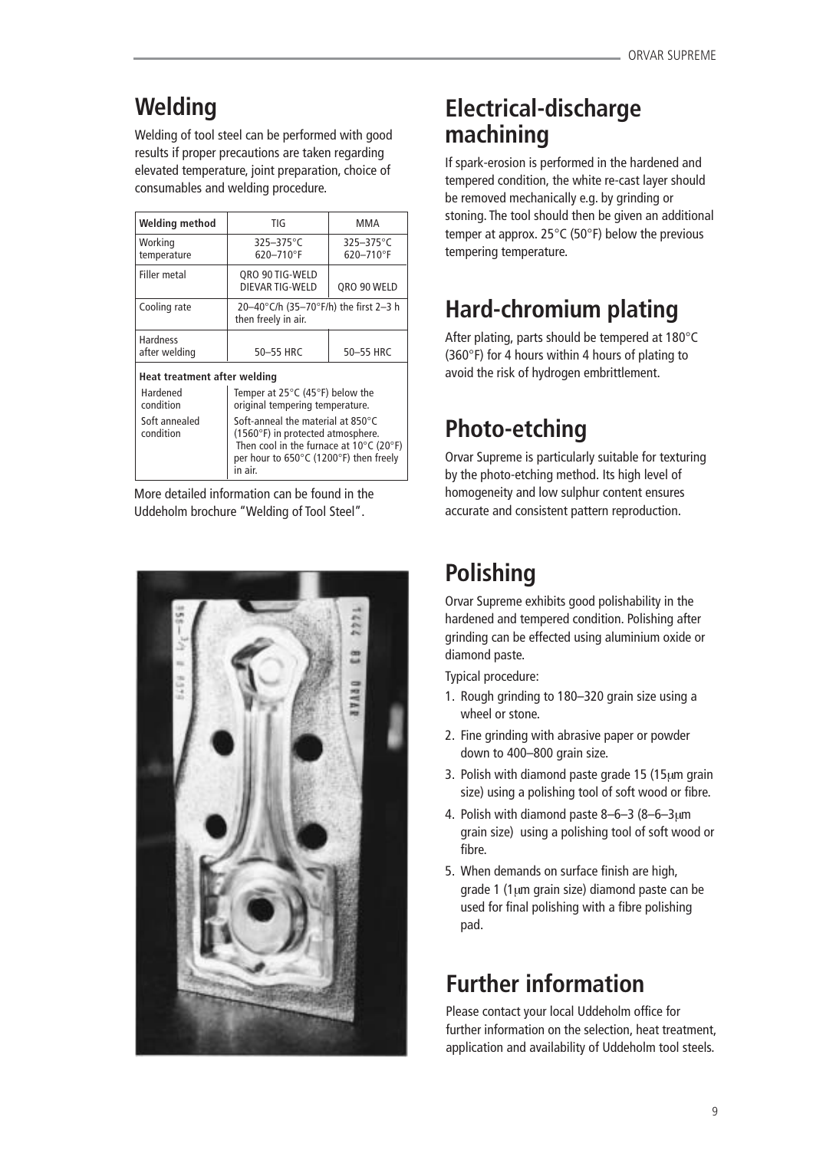# **Welding**

Welding of tool steel can be performed with good results if proper precautions are taken regarding elevated temperature, joint preparation, choice of consumables and welding procedure.

| Welding method                   | TIG                                                          | MMA                              |  |  |
|----------------------------------|--------------------------------------------------------------|----------------------------------|--|--|
| Working<br>temperature           | $325 - 375$ °C<br>$620 - 710$ °F                             | $325 - 375$ °C<br>$620 - 710$ °F |  |  |
| Filler metal                     | QRO 90 TIG-WELD<br>DIEVAR TIG-WELD                           | QRO 90 WELD                      |  |  |
| Cooling rate                     | 20-40°C/h (35-70°F/h) the first 2-3 h<br>then freely in air. |                                  |  |  |
| <b>Hardness</b><br>after welding | 50-55 HRC                                                    | 50-55 HRC                        |  |  |
| Heat treatment after welding     |                                                              |                                  |  |  |

Hardened Temper at 25°C (45°F) below the<br>
condition condition criticial tempering temperature. original tempering temperature. Soft annealed Soft-anneal the material at 850°C<br>condition (1560°F) in protected atmosphere. (1560 $^{\circ}$ F) in protected atmosphere. Then cool in the furnace at  $10^{\circ}$ C (20 $^{\circ}$ F) per hour to 650°C (1200°F) then freely in air.

More detailed information can be found in the Uddeholm brochure "Welding of Tool Steel".



# **Electrical-discharge machining**

If spark-erosion is performed in the hardened and tempered condition, the white re-cast layer should be removed mechanically e.g. by grinding or stoning. The tool should then be given an additional temper at approx. 25°C (50°F) below the previous tempering temperature.

# **Hard-chromium plating**

After plating, parts should be tempered at 180°C (360°F) for 4 hours within 4 hours of plating to avoid the risk of hydrogen embrittlement.

# **Photo-etching**

Orvar Supreme is particularly suitable for texturing by the photo-etching method. Its high level of homogeneity and low sulphur content ensures accurate and consistent pattern reproduction.

# **Polishing**

Orvar Supreme exhibits good polishability in the hardened and tempered condition. Polishing after grinding can be effected using aluminium oxide or diamond paste.

Typical procedure:

- 1. Rough grinding to 180–320 grain size using a wheel or stone.
- 2. Fine grinding with abrasive paper or powder down to 400–800 grain size.
- 3. Polish with diamond paste grade 15 (15µm grain size) using a polishing tool of soft wood or fibre.
- 4. Polish with diamond paste 8–6–3 (8–6–3µm grain size) using a polishing tool of soft wood or fibre.
- 5. When demands on surface finish are high, grade 1 (1µm grain size) diamond paste can be used for final polishing with a fibre polishing pad.

# **Further information**

Please contact your local Uddeholm office for further information on the selection, heat treatment, application and availability of Uddeholm tool steels.